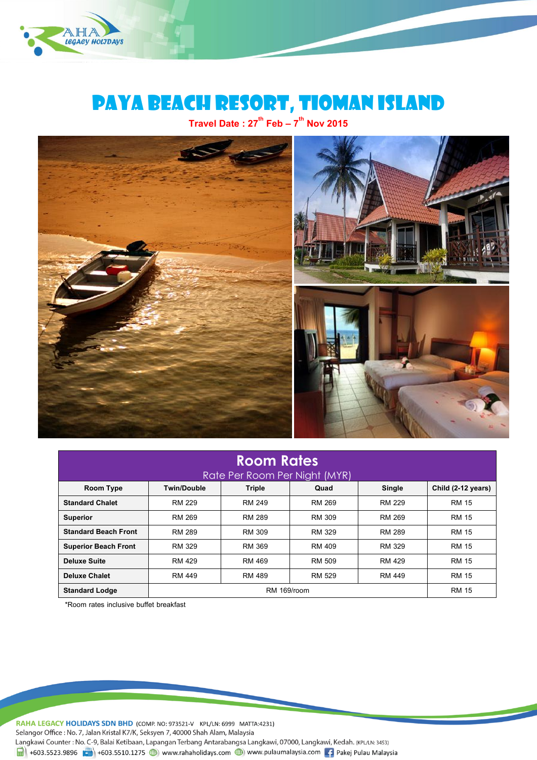

# PAYA BEACH RESORT, TIOMAN Island

**Travel Date : 27 th Feb– 7 th Nov 2015**



| <b>Room Rates</b>           |               |                               |               |               |                    |
|-----------------------------|---------------|-------------------------------|---------------|---------------|--------------------|
|                             |               | Rate Per Room Per Night (MYR) |               |               |                    |
| Room Type                   | Twin/Double   | <b>Triple</b>                 | Quad          | Single        | Child (2-12 years) |
| <b>Standard Chalet</b>      | RM 229        | <b>RM 249</b>                 | RM 269        | RM 229        | <b>RM 15</b>       |
| <b>Superior</b>             | RM 269        | <b>RM 289</b>                 | RM 309        | RM 269        | <b>RM 15</b>       |
| <b>Standard Beach Front</b> | <b>RM 289</b> | RM 309                        | RM 329        | <b>RM 289</b> | <b>RM 15</b>       |
| <b>Superior Beach Front</b> | RM 329        | RM 369                        | <b>RM 409</b> | RM 329        | <b>RM 15</b>       |
| <b>Deluxe Suite</b>         | RM 429        | RM 469                        | <b>RM 509</b> | RM 429        | <b>RM 15</b>       |
| <b>Deluxe Chalet</b>        | <b>RM 449</b> | RM 489                        | <b>RM 529</b> | RM 449        | <b>RM 15</b>       |
| <b>Standard Lodge</b>       | RM 169/room   |                               |               |               | <b>RM 15</b>       |

\*Room rates inclusive buffet breakfast

RAHA LEGACY HOLIDAYS SDN BHD (COMP. NO: 973521-V KPL/LN: 6999 MATTA:4231)

Selangor Office: No. 7, Jalan Kristal K7/K, Seksyen 7, 40000 Shah Alam, Malaysia

Langkawi Counter : No. C-9, Balai Ketibaan, Lapangan Terbang Antarabangsa Langkawi, 07000, Langkawi, Kedah. (KPL/LN: 3453)  $\frac{1}{21}$  +603.5523.9896 +603.5510.1275 (b) www.rahaholidays.com (b) www.pulaumalaysia.com + Pakej Pulau Malaysia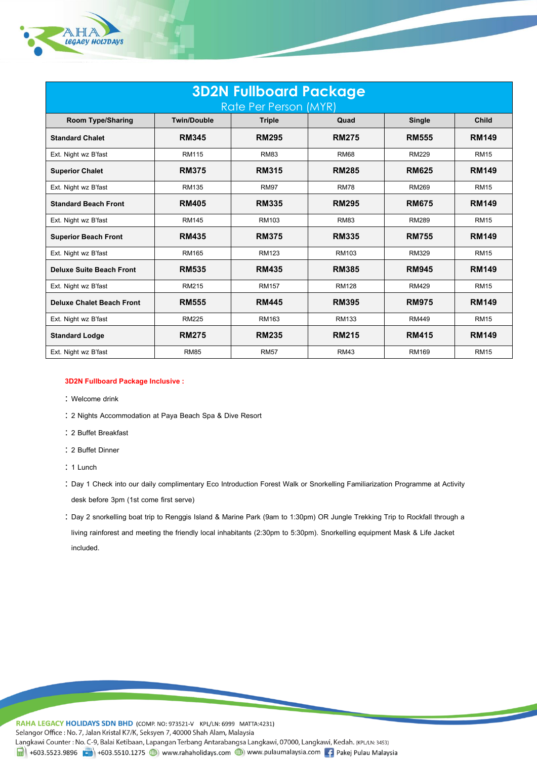

| <b>3D2N Fullboard Package</b>    |                    |               |              |               |              |  |
|----------------------------------|--------------------|---------------|--------------|---------------|--------------|--|
| Rate Per Person (MYR)            |                    |               |              |               |              |  |
| <b>Room Type/Sharing</b>         | <b>Twin/Double</b> | <b>Triple</b> | Quad         | <b>Single</b> | Child        |  |
| <b>Standard Chalet</b>           | <b>RM345</b>       | <b>RM295</b>  | <b>RM275</b> | <b>RM555</b>  | <b>RM149</b> |  |
| Ext. Night wz B'fast             | <b>RM115</b>       | <b>RM83</b>   | <b>RM68</b>  | <b>RM229</b>  | <b>RM15</b>  |  |
| <b>Superior Chalet</b>           | <b>RM375</b>       | <b>RM315</b>  | <b>RM285</b> | <b>RM625</b>  | <b>RM149</b> |  |
| Ext. Night wz B'fast             | <b>RM135</b>       | <b>RM97</b>   | <b>RM78</b>  | <b>RM269</b>  | <b>RM15</b>  |  |
| <b>Standard Beach Front</b>      | <b>RM405</b>       | <b>RM335</b>  | <b>RM295</b> | <b>RM675</b>  | <b>RM149</b> |  |
| Ext. Night wz B'fast             | <b>RM145</b>       | RM103         | <b>RM83</b>  | <b>RM289</b>  | <b>RM15</b>  |  |
| <b>Superior Beach Front</b>      | <b>RM435</b>       | <b>RM375</b>  | <b>RM335</b> | <b>RM755</b>  | <b>RM149</b> |  |
| Ext. Night wz B'fast             | <b>RM165</b>       | <b>RM123</b>  | <b>RM103</b> | <b>RM329</b>  | <b>RM15</b>  |  |
| <b>Deluxe Suite Beach Front</b>  | <b>RM535</b>       | <b>RM435</b>  | <b>RM385</b> | <b>RM945</b>  | <b>RM149</b> |  |
| Ext. Night wz B'fast             | <b>RM215</b>       | <b>RM157</b>  | <b>RM128</b> | <b>RM429</b>  | <b>RM15</b>  |  |
| <b>Deluxe Chalet Beach Front</b> | <b>RM555</b>       | <b>RM445</b>  | <b>RM395</b> | <b>RM975</b>  | <b>RM149</b> |  |
| Ext. Night wz B'fast             | <b>RM225</b>       | <b>RM163</b>  | <b>RM133</b> | <b>RM449</b>  | <b>RM15</b>  |  |
| <b>Standard Lodge</b>            | <b>RM275</b>       | <b>RM235</b>  | <b>RM215</b> | <b>RM415</b>  | <b>RM149</b> |  |
| Ext. Night wz B'fast             | <b>RM85</b>        | <b>RM57</b>   | <b>RM43</b>  | RM169         | <b>RM15</b>  |  |

# **3D2N Fullboard Package Inclusive :**

- : Welcome drink
- 2 Nights Accommodation at Paya Beach Spa & Dive Resort
- 2 Buffet Breakfast
- 2 Buffet Dinner
- $: 1$  Lunch
- Day 1 Check into our daily complimentary Eco Introduction Forest Walk or Snorkelling Familiarization Programme at Activity desk before 3pm (1st come first serve)
- Day 2 snorkelling boat trip to Renggis Island & Marine Park (9am to 1:30pm) OR Jungle Trekking Trip to Rockfall through a living rainforest and meeting the friendly local inhabitants (2:30pm to 5:30pm). Snorkelling equipment Mask & Life Jacket included.

RAHA LEGACY HOLIDAYS SDN BHD (COMP. NO: 973521-V KPL/LN: 6999 MATTA:4231) Selangor Office: No. 7, Jalan Kristal K7/K, Seksyen 7, 40000 Shah Alam, Malaysia Langkawi Counter: No. C-9, Balai Ketibaan, Lapangan Terbang Antarabangsa Langkawi, 07000, Langkawi, Kedah. (KPL/LN: 3453)  $\frac{1}{21}$  +603.5523.9896 +603.5510.1275 (b) www.rahaholidays.com (c) www.pulaumalaysia.com  $\frac{1}{21}$  Pakej Pulau Malaysia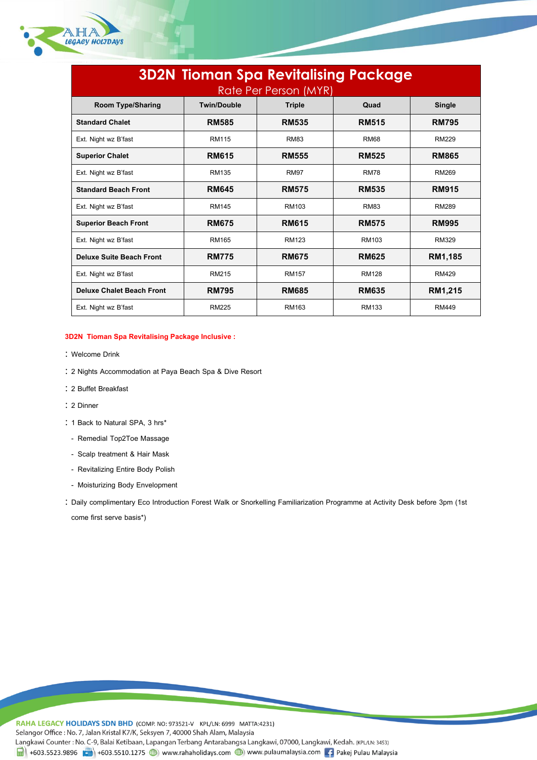

| <b>3D2N Tioman Spa Revitalising Package</b><br>Rate Per Person (MYR) |                    |               |              |               |  |  |
|----------------------------------------------------------------------|--------------------|---------------|--------------|---------------|--|--|
| <b>Room Type/Sharing</b>                                             | <b>Twin/Double</b> | <b>Triple</b> | Quad         | <b>Single</b> |  |  |
| <b>Standard Chalet</b>                                               | <b>RM585</b>       | <b>RM535</b>  | <b>RM515</b> | <b>RM795</b>  |  |  |
| Ext. Night wz B'fast                                                 | RM115              | <b>RM83</b>   | <b>RM68</b>  | <b>RM229</b>  |  |  |
| <b>Superior Chalet</b>                                               | <b>RM615</b>       | <b>RM555</b>  | <b>RM525</b> | <b>RM865</b>  |  |  |
| Ext. Night wz B'fast                                                 | RM135              | <b>RM97</b>   | <b>RM78</b>  | <b>RM269</b>  |  |  |
| <b>Standard Beach Front</b>                                          | <b>RM645</b>       | <b>RM575</b>  | <b>RM535</b> | <b>RM915</b>  |  |  |
| Ext. Night wz B'fast                                                 | <b>RM145</b>       | RM103         | <b>RM83</b>  | <b>RM289</b>  |  |  |
| <b>Superior Beach Front</b>                                          | <b>RM675</b>       | <b>RM615</b>  | <b>RM575</b> | <b>RM995</b>  |  |  |
| Ext. Night wz B'fast                                                 | RM165              | <b>RM123</b>  | RM103        | <b>RM329</b>  |  |  |
| <b>Deluxe Suite Beach Front</b>                                      | <b>RM775</b>       | <b>RM675</b>  | <b>RM625</b> | RM1,185       |  |  |
| Ext. Night wz B'fast                                                 | <b>RM215</b>       | <b>RM157</b>  | <b>RM128</b> | <b>RM429</b>  |  |  |
| <b>Deluxe Chalet Beach Front</b>                                     | <b>RM795</b>       | <b>RM685</b>  | <b>RM635</b> | RM1,215       |  |  |
| Ext. Night wz B'fast                                                 | <b>RM225</b>       | RM163         | <b>RM133</b> | <b>RM449</b>  |  |  |

## **3D2N Tioman Spa Revitalising Package Inclusive :**

- Welcome Drink
- 2 Nights Accommodation at Paya Beach Spa & Dive Resort
- 2 Buffet Breakfast
- 2 Dinner
- : 1 Back to Natural SPA, 3 hrs\*
- Remedial Top2Toe Massage
- Scalp treatment & Hair Mask
- Revitalizing Entire Body Polish
- Moisturizing Body Envelopment
- Daily complimentary Eco Introduction Forest Walk or Snorkelling Familiarization Programme at Activity Desk before 3pm (1st come first serve basis\*)

RAHA LEGACY HOLIDAYS SDN BHD (COMP. NO: 973521-V KPL/LN: 6999 MATTA:4231) Selangor Office: No. 7, Jalan Kristal K7/K, Seksyen 7, 40000 Shah Alam, Malaysia Langkawi Counter: No. C-9, Balai Ketibaan, Lapangan Terbang Antarabangsa Langkawi, 07000, Langkawi, Kedah. (KPL/LN: 3453)  $\frac{1}{2}$  +603.5523.9896  $\frac{1}{2}$  +603.5510.1275 (b) www.rahaholidays.com (b) www.pulaumalaysia.com 1 Pakej Pulau Malaysia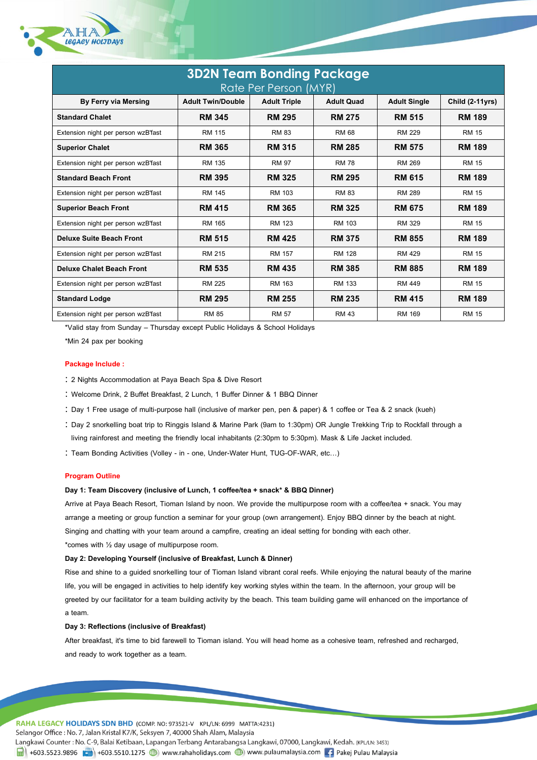

| <b>3D2N Team Bonding Package</b><br>Rate Per Person (MYR) |                          |                     |                   |                     |                        |  |  |
|-----------------------------------------------------------|--------------------------|---------------------|-------------------|---------------------|------------------------|--|--|
| <b>By Ferry via Mersing</b>                               | <b>Adult Twin/Double</b> | <b>Adult Triple</b> | <b>Adult Quad</b> | <b>Adult Single</b> | <b>Child (2-11yrs)</b> |  |  |
| <b>Standard Chalet</b>                                    | <b>RM 345</b>            | <b>RM 295</b>       | <b>RM 275</b>     | <b>RM 515</b>       | <b>RM 189</b>          |  |  |
| Extension night per person wzB'fast                       | <b>RM 115</b>            | <b>RM 83</b>        | <b>RM 68</b>      | <b>RM 229</b>       | <b>RM 15</b>           |  |  |
| <b>Superior Chalet</b>                                    | <b>RM 365</b>            | <b>RM 315</b>       | <b>RM 285</b>     | <b>RM 575</b>       | <b>RM 189</b>          |  |  |
| Extension night per person wzB'fast                       | <b>RM 135</b>            | <b>RM 97</b>        | <b>RM 78</b>      | <b>RM 269</b>       | <b>RM 15</b>           |  |  |
| <b>Standard Beach Front</b>                               | <b>RM 395</b>            | <b>RM 325</b>       | <b>RM 295</b>     | <b>RM 615</b>       | <b>RM 189</b>          |  |  |
| Extension night per person wzB'fast                       | <b>RM 145</b>            | <b>RM 103</b>       | <b>RM 83</b>      | <b>RM 289</b>       | <b>RM 15</b>           |  |  |
| <b>Superior Beach Front</b>                               | <b>RM 415</b>            | <b>RM 365</b>       | <b>RM 325</b>     | <b>RM 675</b>       | <b>RM 189</b>          |  |  |
| Extension night per person wzB'fast                       | RM 165                   | <b>RM 123</b>       | RM 103            | <b>RM 329</b>       | <b>RM 15</b>           |  |  |
| Deluxe Suite Beach Front                                  | <b>RM 515</b>            | <b>RM 425</b>       | <b>RM 375</b>     | <b>RM 855</b>       | <b>RM 189</b>          |  |  |
| Extension night per person wzB'fast                       | RM 215                   | <b>RM 157</b>       | <b>RM 128</b>     | RM 429              | <b>RM 15</b>           |  |  |
| <b>Deluxe Chalet Beach Front</b>                          | <b>RM 535</b>            | <b>RM 435</b>       | <b>RM 385</b>     | <b>RM 885</b>       | <b>RM 189</b>          |  |  |
| Extension night per person wzB'fast                       | <b>RM 225</b>            | RM 163              | RM 133            | RM 449              | <b>RM 15</b>           |  |  |
| <b>Standard Lodge</b>                                     | <b>RM 295</b>            | <b>RM 255</b>       | <b>RM 235</b>     | <b>RM 415</b>       | <b>RM 189</b>          |  |  |
| Extension night per person wzB'fast                       | <b>RM 85</b>             | <b>RM 57</b>        | <b>RM 43</b>      | <b>RM 169</b>       | <b>RM 15</b>           |  |  |

\*Valid stay from Sunday – Thursday except Public Holidays & School Holidays

\*Min 24 pax per booking

### **Package Include :**

- 2 Nights Accommodation at Paya Beach Spa & Dive Resort
- Welcome Drink, 2 Buffet Breakfast, 2 Lunch, 1 Buffer Dinner & 1 BBQ Dinner
- Day 1 Free usage of multi-purpose hall (inclusive of marker pen, pen & paper) & 1 coffee or Tea & 2 snack (kueh)
- Day 2 snorkelling boat trip to Ringgis Island & Marine Park (9am to 1:30pm) OR Jungle Trekking Trip to Rockfall through a living rainforest and meeting the friendly local inhabitants (2:30pm to 5:30pm). Mask & Life Jacket included.
- Team Bonding Activities (Volley in one, Under-Water Hunt, TUG-OF-WAR, etc…)

### **Program Outline**

### **Day 1: Team Discovery (inclusive of Lunch, 1 coffee/tea + snack\* & BBQ Dinner)**

Arrive at Paya Beach Resort, Tioman Island by noon. We provide the multipurpose room with a coffee/tea + snack. You may arrange a meeting or group function a seminar for your group (own arrangement). Enjoy BBQ dinner by the beach at night. Singing and chatting with your team around a campfire, creating an ideal setting for bonding with each other. \*comes with ½ day usage of multipurpose room.

# **Day 2: Developing Yourself (inclusive of Breakfast, Lunch & Dinner)**

Rise and shine to a guided snorkelling tour of Tioman Island vibrant coral reefs. While enjoying the natural beauty of the marine life, you will be engaged in activities to help identify key working styles within the team. In the afternoon, your group will be greeted by our facilitator for a team building activity by the beach. This team building game will enhanced on the importance of a team.

### **Day 3: Reflections (inclusive of Breakfast)**

After breakfast, it's time to bid farewell to Tioman island. You will head home as a cohesive team, refreshed and recharged, and ready to work together as a team.

RAHA LEGACY HOLIDAYS SDN BHD (COMP. NO: 973521-V KPL/LN: 6999 MATTA:4231) Selangor Office: No. 7, Jalan Kristal K7/K, Seksyen 7, 40000 Shah Alam, Malaysia Langkawi Counter: No. C-9, Balai Ketibaan, Lapangan Terbang Antarabangsa Langkawi, 07000, Langkawi, Kedah. (KPL/LN: 3453) 4603.5523.9896 (1) +603.5510.1275 (1) www.rahaholidays.com (1) www.pulaumalaysia.com [4] Pakej Pulau Malaysia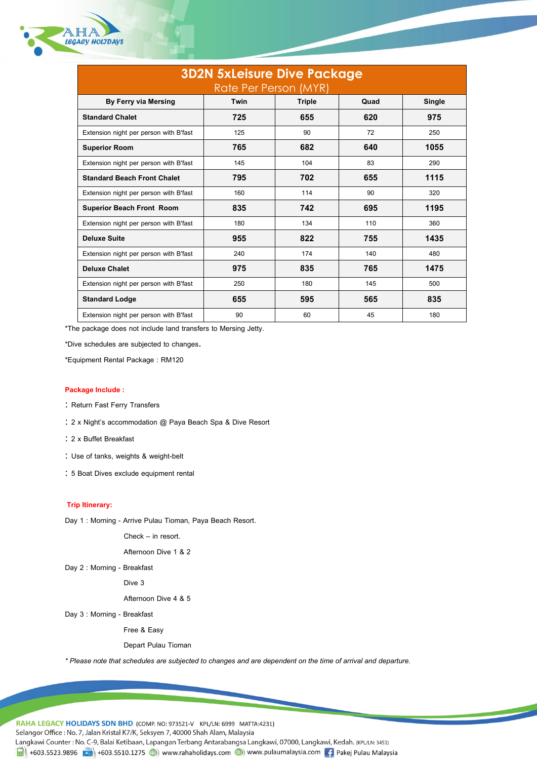

| <b>3D2N 5xLeisure Dive Package</b><br>Rate Per Person (MYR) |      |        |      |        |  |  |
|-------------------------------------------------------------|------|--------|------|--------|--|--|
| By Ferry via Mersing                                        | Twin | Triple | Quad | Single |  |  |
| <b>Standard Chalet</b>                                      | 725  | 655    | 620  | 975    |  |  |
| Extension night per person with B'fast                      | 125  | 90     | 72   | 250    |  |  |
| <b>Superior Room</b>                                        | 765  | 682    | 640  | 1055   |  |  |
| Extension night per person with B'fast                      | 145  | 104    | 83   | 290    |  |  |
| <b>Standard Beach Front Chalet</b>                          | 795  | 702    | 655  | 1115   |  |  |
| Extension night per person with B'fast                      | 160  | 114    | 90   | 320    |  |  |
| <b>Superior Beach Front Room</b>                            | 835  | 742    | 695  | 1195   |  |  |
| Extension night per person with B'fast                      | 180  | 134    | 110  | 360    |  |  |
| Deluxe Suite                                                | 955  | 822    | 755  | 1435   |  |  |
| Extension night per person with B'fast                      | 240  | 174    | 140  | 480    |  |  |
| <b>Deluxe Chalet</b>                                        | 975  | 835    | 765  | 1475   |  |  |
| Extension night per person with B'fast                      | 250  | 180    | 145  | 500    |  |  |
| <b>Standard Lodge</b>                                       | 655  | 595    | 565  | 835    |  |  |
| Extension night per person with B'fast                      | 90   | 60     | 45   | 180    |  |  |

\*The package does not include land transfers to Mersing Jetty.

\*Dive schedules are subjected to changes.

\*Equipment Rental Package : RM120

# **Package Include :**

- : Return Fast Ferry Transfers
- 2 x Night's accommodation @ Paya Beach Spa & Dive Resort
- 2 x Buffet Breakfast
- Use of tanks, weights & weight-belt
- 5 Boat Dives exclude equipment rental

# **Trip Itinerary:**

Day 1 : Morning - Arrive Pulau Tioman, Paya Beach Resort.

Check – in resort.

Afternoon Dive 1 & 2

Day 2 : Morning - Breakfast

Dive 3

Afternoon Dive 4 & 5

Day 3 : Morning - Breakfast

Free & Easy

Depart Pulau Tioman

*\* Please note that schedules are subjected to changes and are dependent on the time of arrival and departure.*

RAHA LEGACY HOLIDAYS SDN BHD (COMP. NO: 973521-V KPL/LN: 6999 MATTA:4231) Selangor Office: No. 7, Jalan Kristal K7/K, Seksyen 7, 40000 Shah Alam, Malaysia Langkawi Counter: No. C-9, Balai Ketibaan, Lapangan Terbang Antarabangsa Langkawi, 07000, Langkawi, Kedah. (KPL/LN: 3453) Heft +603.5523.9896 (-1) +603.5510.1275 (-) www.rahaholidays.com (-) www.pulaumalaysia.com [-] Pakej Pulau Malaysia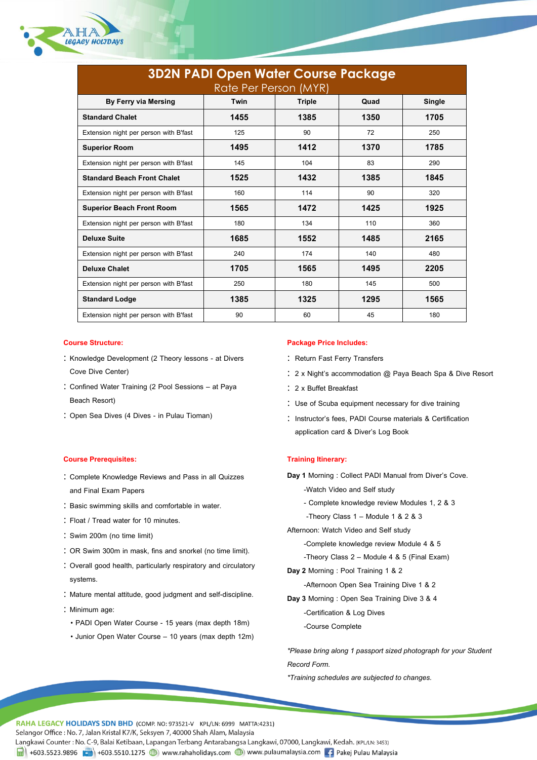

| <b>3D2N PADI Open Water Course Package</b><br>Rate Per Person (MYR) |      |        |      |        |  |  |
|---------------------------------------------------------------------|------|--------|------|--------|--|--|
| By Ferry via Mersing                                                | Twin | Triple | Quad | Single |  |  |
| <b>Standard Chalet</b>                                              | 1455 | 1385   | 1350 | 1705   |  |  |
| Extension night per person with B'fast                              | 125  | 90     | 72   | 250    |  |  |
| <b>Superior Room</b>                                                | 1495 | 1412   | 1370 | 1785   |  |  |
| Extension night per person with B'fast                              | 145  | 104    | 83   | 290    |  |  |
| <b>Standard Beach Front Chalet</b>                                  | 1525 | 1432   | 1385 | 1845   |  |  |
| Extension night per person with B'fast                              | 160  | 114    | 90   | 320    |  |  |
| <b>Superior Beach Front Room</b>                                    | 1565 | 1472   | 1425 | 1925   |  |  |
| Extension night per person with B'fast                              | 180  | 134    | 110  | 360    |  |  |
| <b>Deluxe Suite</b>                                                 | 1685 | 1552   | 1485 | 2165   |  |  |
| Extension night per person with B'fast                              | 240  | 174    | 140  | 480    |  |  |
| <b>Deluxe Chalet</b>                                                | 1705 | 1565   | 1495 | 2205   |  |  |
| Extension night per person with B'fast                              | 250  | 180    | 145  | 500    |  |  |
| <b>Standard Lodge</b>                                               | 1385 | 1325   | 1295 | 1565   |  |  |
| Extension night per person with B'fast                              | 90   | 60     | 45   | 180    |  |  |

- : Knowledge Development (2 Theory lessons at Divers Cove Dive Center)
- Confined Water Training (2 Pool Sessions at Paya Beach Resort)
- : Open Sea Dives (4 Dives in Pulau Tioman)

# **Course Prerequisites: Training Itinerary:**

- Complete Knowledge Reviews and Pass in all Quizzes and Final Exam Papers
- : Basic swimming skills and comfortable in water.
- Float / Tread water for 10 minutes.
- Swim 200m (no time limit)
- OR Swim 300m in mask, fins and snorkel (no time limit).
- Overall good health, particularly respiratory and circulatory systems.
- Mature mental attitude, good judgment and self-discipline.
- : Minimum age:
	- PADI Open Water Course 15 years (max depth 18m)
	- Junior Open Water Course 10 years (max depth 12m)

# **Course Structure: Package Price Includes:**

- : Return Fast Ferry Transfers
- 2 x Night's accommodation @ Paya Beach Spa & Dive Resort
- 2 x Buffet Breakfast
- : Use of Scuba equipment necessary for dive training
- : Instructor's fees, PADI Course materials & Certification application card & Diver's Log Book

**Day 1** Morning : Collect PADI Manual from Diver's Cove.

- -Watch Video and Self study
- Complete knowledge review Modules 1, 2 & 3
- -Theory Class 1 Module 1 & 2 & 3

Afternoon: Watch Video and Self study

- -Complete knowledge review Module 4 & 5
- -Theory Class 2 Module 4 & 5 (Final Exam)
- **Day 2** Morning : Pool Training 1 & 2
	- -Afternoon Open Sea Training Dive 1 & 2
- **Day 3** Morning : Open Sea Training Dive 3 & 4
	- -Certification & Log Dives
	- -Course Complete

*\*Please bring along 1 passport sized photograph for your Student Record Form.*

*\*Training schedules are subjected to changes.*

RAHA LEGACY HOLIDAYS SDN BHD (COMP. NO: 973521-V KPL/LN: 6999 MATTA:4231)

Selangor Office: No. 7, Jalan Kristal K7/K, Seksyen 7, 40000 Shah Alam, Malaysia

Langkawi Counter: No. C-9, Balai Ketibaan, Lapangan Terbang Antarabangsa Langkawi, 07000, Langkawi, Kedah. (KPL/LN: 3453)

4603.5523.9896 (1603.5510.1275 (1808) www.rahaholidays.com (1808) www.pulaumalaysia.com [16] Pakej Pulau Malaysia